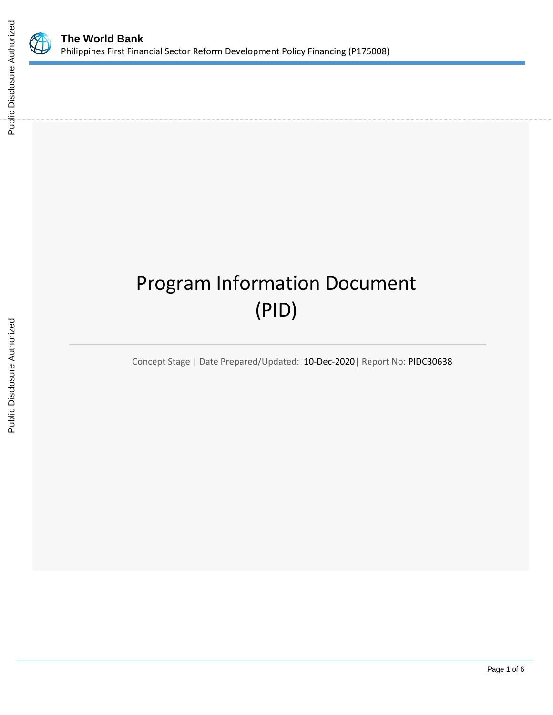

Public Disclosure Authorized

Public Disclosure Authorized

# Program Information Document (PID)

Concept Stage | Date Prepared/Updated: 10-Dec-2020| Report No: PIDC30638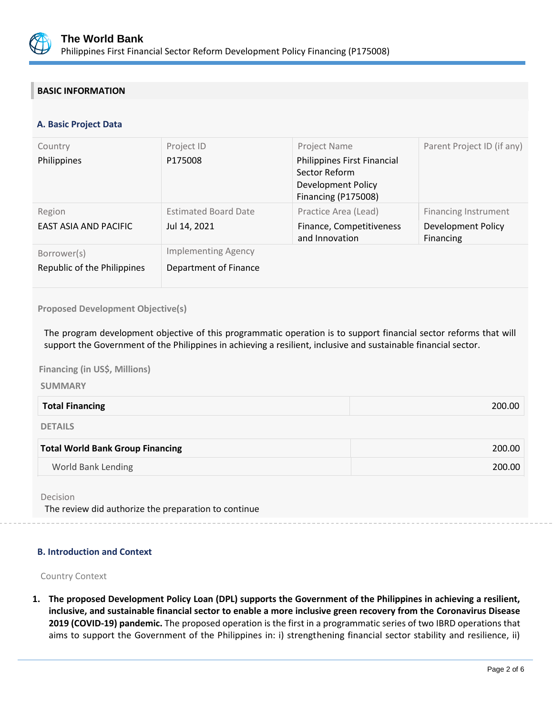

# **BASIC INFORMATION**

# **A. Basic Project Data**

| Country                                    | Project ID                                          | Project Name                                                                              | Parent Project ID (if any)      |
|--------------------------------------------|-----------------------------------------------------|-------------------------------------------------------------------------------------------|---------------------------------|
| Philippines                                | P175008                                             | Philippines First Financial<br>Sector Reform<br>Development Policy<br>Financing (P175008) |                                 |
| Region                                     | <b>Estimated Board Date</b>                         | Practice Area (Lead)                                                                      | <b>Financing Instrument</b>     |
| EAST ASIA AND PACIFIC                      | Jul 14, 2021                                        | Finance, Competitiveness<br>and Innovation                                                | Development Policy<br>Financing |
| Borrower(s)<br>Republic of the Philippines | <b>Implementing Agency</b><br>Department of Finance |                                                                                           |                                 |

#### **Proposed Development Objective(s)**

The program development objective of this programmatic operation is to support financial sector reforms that will support the Government of the Philippines in achieving a resilient, inclusive and sustainable financial sector.

**Financing (in US\$, Millions)** 

**SUMMARY**

| <b>Total Financing</b> | 200.00 |
|------------------------|--------|
|                        |        |

DETAILS

| <b>Total World Bank Group Financing</b> | 200.00 |
|-----------------------------------------|--------|
| World Bank Lending                      | 200.00 |
|                                         |        |

Decision

The review did authorize the preparation to continue

## **B. Introduction and Context**

Country Context

**1. The proposed Development Policy Loan (DPL) supports the Government of the Philippines in achieving a resilient, inclusive, and sustainable financial sector to enable a more inclusive green recovery from the Coronavirus Disease 2019 (COVID-19) pandemic.** The proposed operation is the first in a programmatic series of two IBRD operations that aims to support the Government of the Philippines in: i) strengthening financial sector stability and resilience, ii)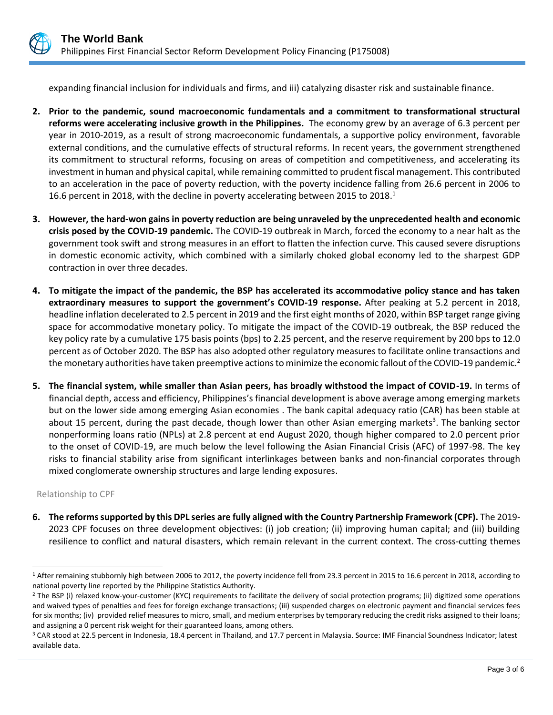

expanding financial inclusion for individuals and firms, and iii) catalyzing disaster risk and sustainable finance.

- **2. Prior to the pandemic, sound macroeconomic fundamentals and a commitment to transformational structural reforms were accelerating inclusive growth in the Philippines.** The economy grew by an average of 6.3 percent per year in 2010-2019, as a result of strong macroeconomic fundamentals, a supportive policy environment, favorable external conditions, and the cumulative effects of structural reforms. In recent years, the government strengthened its commitment to structural reforms, focusing on areas of competition and competitiveness, and accelerating its investment in human and physical capital, while remaining committed to prudent fiscal management. This contributed to an acceleration in the pace of poverty reduction, with the poverty incidence falling from 26.6 percent in 2006 to 16.6 percent in 2018, with the decline in poverty accelerating between 2015 to 2018.<sup>1</sup>
- **3. However, the hard-won gains in poverty reduction are being unraveled by the unprecedented health and economic crisis posed by the COVID-19 pandemic.** The COVID-19 outbreak in March, forced the economy to a near halt as the government took swift and strong measures in an effort to flatten the infection curve. This caused severe disruptions in domestic economic activity, which combined with a similarly choked global economy led to the sharpest GDP contraction in over three decades.
- **4. To mitigate the impact of the pandemic, the BSP has accelerated its accommodative policy stance and has taken extraordinary measures to support the government's COVID-19 response.** After peaking at 5.2 percent in 2018, headline inflation decelerated to 2.5 percent in 2019 and the first eight months of 2020, within BSP target range giving space for accommodative monetary policy. To mitigate the impact of the COVID-19 outbreak, the BSP reduced the key policy rate by a cumulative 175 basis points (bps) to 2.25 percent, and the reserve requirement by 200 bps to 12.0 percent as of October 2020. The BSP has also adopted other regulatory measures to facilitate online transactions and the monetary authorities have taken preemptive actions to minimize the economic fallout of the COVID-19 pandemic.<sup>2</sup>
- **5. The financial system, while smaller than Asian peers, has broadly withstood the impact of COVID-19.** In terms of financial depth, access and efficiency, Philippines's financial development is above average among emerging markets but on the lower side among emerging Asian economies . The bank capital adequacy ratio (CAR) has been stable at about 15 percent, during the past decade, though lower than other Asian emerging markets<sup>3</sup>. The banking sector nonperforming loans ratio (NPLs) at 2.8 percent at end August 2020, though higher compared to 2.0 percent prior to the onset of COVID-19, are much below the level following the Asian Financial Crisis (AFC) of 1997-98. The key risks to financial stability arise from significant interlinkages between banks and non-financial corporates through mixed conglomerate ownership structures and large lending exposures.

Relationship to CPF

**6. The reforms supported by this DPL series are fully aligned with the Country Partnership Framework (CPF).** The 2019- 2023 CPF focuses on three development objectives: (i) job creation; (ii) improving human capital; and (iii) building resilience to conflict and natural disasters, which remain relevant in the current context. The cross-cutting themes

<sup>&</sup>lt;sup>1</sup> After remaining stubbornly high between 2006 to 2012, the poverty incidence fell from 23.3 percent in 2015 to 16.6 percent in 2018, according to national poverty line reported by the Philippine Statistics Authority.

<sup>&</sup>lt;sup>2</sup> The BSP (i) relaxed know-your-customer (KYC) requirements to facilitate the delivery of social protection programs; (ii) digitized some operations and waived types of penalties and fees for foreign exchange transactions; (iii) suspended charges on electronic payment and financial services fees for six months; (iv) provided relief measures to micro, small, and medium enterprises by temporary reducing the credit risks assigned to their loans; and assigning a 0 percent risk weight for their guaranteed loans, among others.

<sup>3</sup> CAR stood at 22.5 percent in Indonesia, 18.4 percent in Thailand, and 17.7 percent in Malaysia. Source: IMF Financial Soundness Indicator; latest available data.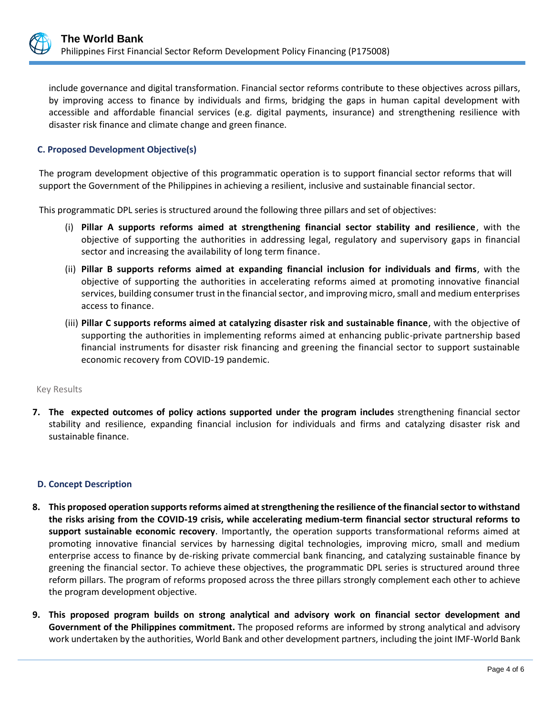

include governance and digital transformation. Financial sector reforms contribute to these objectives across pillars, by improving access to finance by individuals and firms, bridging the gaps in human capital development with accessible and affordable financial services (e.g. digital payments, insurance) and strengthening resilience with disaster risk finance and climate change and green finance.

# **C. Proposed Development Objective(s)**

The program development objective of this programmatic operation is to support financial sector reforms that will support the Government of the Philippines in achieving a resilient, inclusive and sustainable financial sector.

This programmatic DPL series is structured around the following three pillars and set of objectives:

- (i) **Pillar A supports reforms aimed at strengthening financial sector stability and resilience**, with the objective of supporting the authorities in addressing legal, regulatory and supervisory gaps in financial sector and increasing the availability of long term finance.
- (ii) **Pillar B supports reforms aimed at expanding financial inclusion for individuals and firms**, with the objective of supporting the authorities in accelerating reforms aimed at promoting innovative financial services, building consumer trust in the financial sector, and improving micro, small and medium enterprises access to finance.
- (iii) **Pillar C supports reforms aimed at catalyzing disaster risk and sustainable finance**, with the objective of supporting the authorities in implementing reforms aimed at enhancing public-private partnership based financial instruments for disaster risk financing and greening the financial sector to support sustainable economic recovery from COVID-19 pandemic.

#### Key Results

**7. The expected outcomes of policy actions supported under the program includes** strengthening financial sector stability and resilience, expanding financial inclusion for individuals and firms and catalyzing disaster risk and sustainable finance.

## **D. Concept Description**

- **8. This proposed operation supports reforms aimed at strengthening the resilience of the financial sector to withstand the risks arising from the COVID-19 crisis, while accelerating medium-term financial sector structural reforms to support sustainable economic recovery**. Importantly, the operation supports transformational reforms aimed at promoting innovative financial services by harnessing digital technologies, improving micro, small and medium enterprise access to finance by de-risking private commercial bank financing, and catalyzing sustainable finance by greening the financial sector. To achieve these objectives, the programmatic DPL series is structured around three reform pillars. The program of reforms proposed across the three pillars strongly complement each other to achieve the program development objective.
- **9. This proposed program builds on strong analytical and advisory work on financial sector development and Government of the Philippines commitment.** The proposed reforms are informed by strong analytical and advisory work undertaken by the authorities, World Bank and other development partners, including the joint IMF-World Bank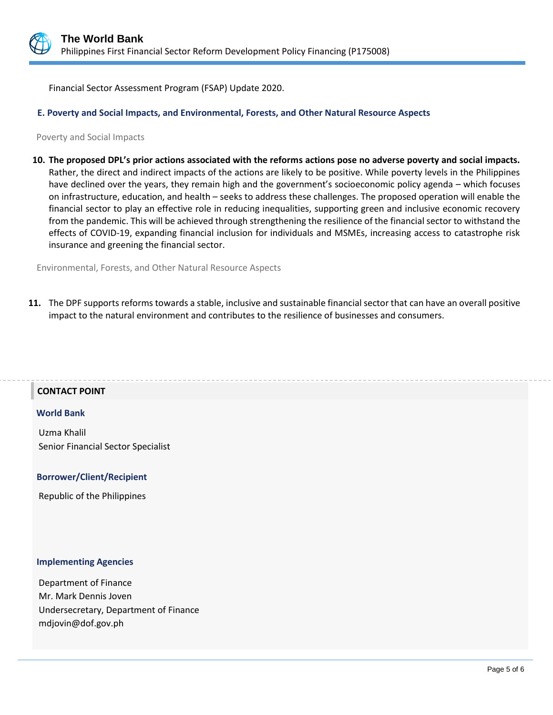

Financial Sector Assessment Program (FSAP) Update 2020.

#### **E. Poverty and Social Impacts, and Environmental, Forests, and Other Natural Resource Aspects**

Poverty and Social Impacts

**10. The proposed DPL's prior actions associated with the reforms actions pose no adverse poverty and social impacts.** Rather, the direct and indirect impacts of the actions are likely to be positive. While poverty levels in the Philippines have declined over the years, they remain high and the government's socioeconomic policy agenda – which focuses on infrastructure, education, and health – seeks to address these challenges. The proposed operation will enable the financial sector to play an effective role in reducing inequalities, supporting green and inclusive economic recovery from the pandemic. This will be achieved through strengthening the resilience of the financial sector to withstand the effects of COVID-19, expanding financial inclusion for individuals and MSMEs, increasing access to catastrophe risk insurance and greening the financial sector.

Environmental, Forests, and Other Natural Resource Aspects

**11.** The DPF supports reforms towards a stable, inclusive and sustainable financial sector that can have an overall positive impact to the natural environment and contributes to the resilience of businesses and consumers.

#### **CONTACT POINT**

#### **World Bank**

Uzma Khalil Senior Financial Sector Specialist

#### **Borrower/Client/Recipient**

Republic of the Philippines

#### **Implementing Agencies**

Department of Finance Mr. Mark Dennis Joven Undersecretary, Department of Finance mdjovin@dof.gov.ph